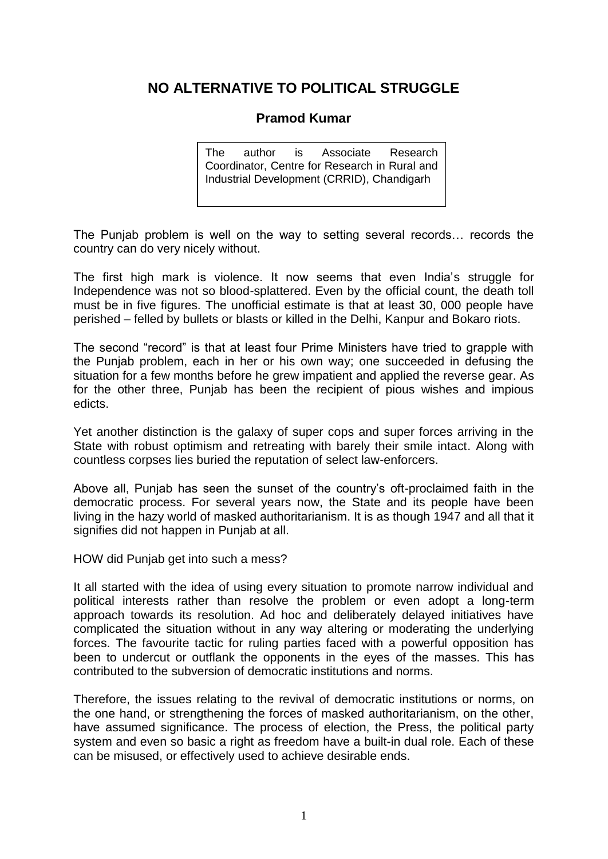## **NO ALTERNATIVE TO POLITICAL STRUGGLE**

## **Pramod Kumar**

The author is Associate Research Coordinator, Centre for Research in Rural and Industrial Development (CRRID), Chandigarh

The Punjab problem is well on the way to setting several records… records the country can do very nicely without.

The first high mark is violence. It now seems that even India's struggle for Independence was not so blood-splattered. Even by the official count, the death toll must be in five figures. The unofficial estimate is that at least 30, 000 people have perished – felled by bullets or blasts or killed in the Delhi, Kanpur and Bokaro riots.

The second "record" is that at least four Prime Ministers have tried to grapple with the Punjab problem, each in her or his own way; one succeeded in defusing the situation for a few months before he grew impatient and applied the reverse gear. As for the other three, Punjab has been the recipient of pious wishes and impious edicts.

Yet another distinction is the galaxy of super cops and super forces arriving in the State with robust optimism and retreating with barely their smile intact. Along with countless corpses lies buried the reputation of select law-enforcers.

Above all, Punjab has seen the sunset of the country's oft-proclaimed faith in the democratic process. For several years now, the State and its people have been living in the hazy world of masked authoritarianism. It is as though 1947 and all that it signifies did not happen in Punjab at all.

HOW did Punjab get into such a mess?

It all started with the idea of using every situation to promote narrow individual and political interests rather than resolve the problem or even adopt a long-term approach towards its resolution. Ad hoc and deliberately delayed initiatives have complicated the situation without in any way altering or moderating the underlying forces. The favourite tactic for ruling parties faced with a powerful opposition has been to undercut or outflank the opponents in the eyes of the masses. This has contributed to the subversion of democratic institutions and norms.

Therefore, the issues relating to the revival of democratic institutions or norms, on the one hand, or strengthening the forces of masked authoritarianism, on the other, have assumed significance. The process of election, the Press, the political party system and even so basic a right as freedom have a built-in dual role. Each of these can be misused, or effectively used to achieve desirable ends.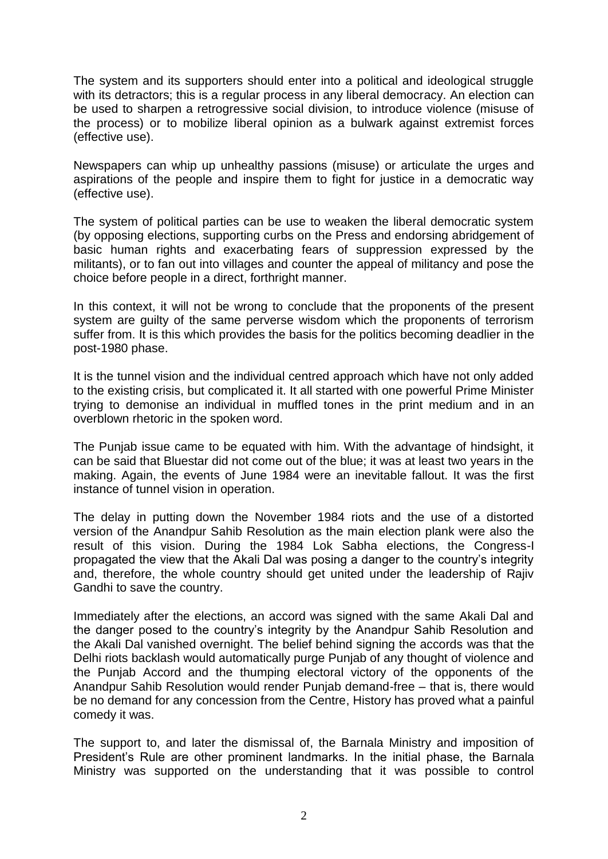The system and its supporters should enter into a political and ideological struggle with its detractors; this is a regular process in any liberal democracy. An election can be used to sharpen a retrogressive social division, to introduce violence (misuse of the process) or to mobilize liberal opinion as a bulwark against extremist forces (effective use).

Newspapers can whip up unhealthy passions (misuse) or articulate the urges and aspirations of the people and inspire them to fight for justice in a democratic way (effective use).

The system of political parties can be use to weaken the liberal democratic system (by opposing elections, supporting curbs on the Press and endorsing abridgement of basic human rights and exacerbating fears of suppression expressed by the militants), or to fan out into villages and counter the appeal of militancy and pose the choice before people in a direct, forthright manner.

In this context, it will not be wrong to conclude that the proponents of the present system are guilty of the same perverse wisdom which the proponents of terrorism suffer from. It is this which provides the basis for the politics becoming deadlier in the post-1980 phase.

It is the tunnel vision and the individual centred approach which have not only added to the existing crisis, but complicated it. It all started with one powerful Prime Minister trying to demonise an individual in muffled tones in the print medium and in an overblown rhetoric in the spoken word.

The Punjab issue came to be equated with him. With the advantage of hindsight, it can be said that Bluestar did not come out of the blue; it was at least two years in the making. Again, the events of June 1984 were an inevitable fallout. It was the first instance of tunnel vision in operation.

The delay in putting down the November 1984 riots and the use of a distorted version of the Anandpur Sahib Resolution as the main election plank were also the result of this vision. During the 1984 Lok Sabha elections, the Congress-I propagated the view that the Akali Dal was posing a danger to the country's integrity and, therefore, the whole country should get united under the leadership of Rajiv Gandhi to save the country.

Immediately after the elections, an accord was signed with the same Akali Dal and the danger posed to the country's integrity by the Anandpur Sahib Resolution and the Akali Dal vanished overnight. The belief behind signing the accords was that the Delhi riots backlash would automatically purge Punjab of any thought of violence and the Punjab Accord and the thumping electoral victory of the opponents of the Anandpur Sahib Resolution would render Punjab demand-free – that is, there would be no demand for any concession from the Centre, History has proved what a painful comedy it was.

The support to, and later the dismissal of, the Barnala Ministry and imposition of President's Rule are other prominent landmarks. In the initial phase, the Barnala Ministry was supported on the understanding that it was possible to control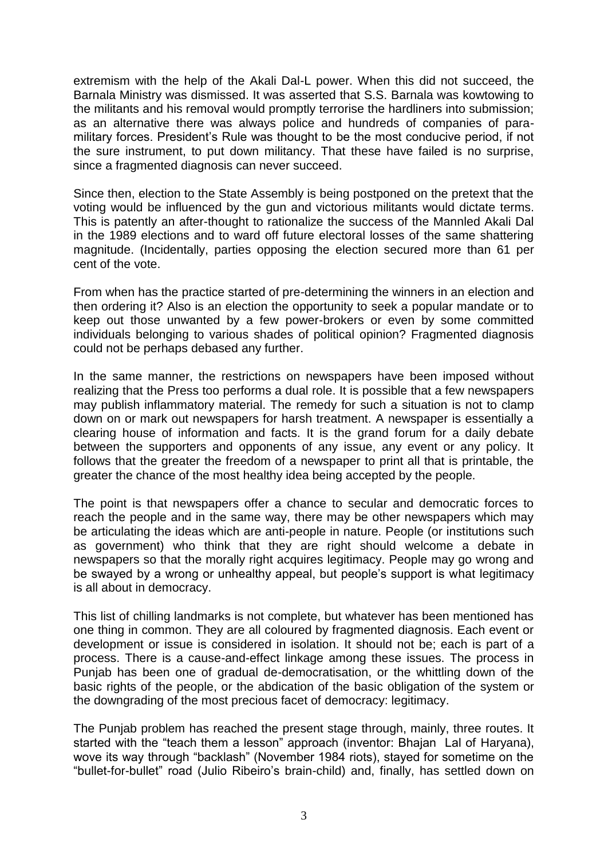extremism with the help of the Akali Dal-L power. When this did not succeed, the Barnala Ministry was dismissed. It was asserted that S.S. Barnala was kowtowing to the militants and his removal would promptly terrorise the hardliners into submission; as an alternative there was always police and hundreds of companies of paramilitary forces. President's Rule was thought to be the most conducive period, if not the sure instrument, to put down militancy. That these have failed is no surprise, since a fragmented diagnosis can never succeed.

Since then, election to the State Assembly is being postponed on the pretext that the voting would be influenced by the gun and victorious militants would dictate terms. This is patently an after-thought to rationalize the success of the Mannled Akali Dal in the 1989 elections and to ward off future electoral losses of the same shattering magnitude. (Incidentally, parties opposing the election secured more than 61 per cent of the vote.

From when has the practice started of pre-determining the winners in an election and then ordering it? Also is an election the opportunity to seek a popular mandate or to keep out those unwanted by a few power-brokers or even by some committed individuals belonging to various shades of political opinion? Fragmented diagnosis could not be perhaps debased any further.

In the same manner, the restrictions on newspapers have been imposed without realizing that the Press too performs a dual role. It is possible that a few newspapers may publish inflammatory material. The remedy for such a situation is not to clamp down on or mark out newspapers for harsh treatment. A newspaper is essentially a clearing house of information and facts. It is the grand forum for a daily debate between the supporters and opponents of any issue, any event or any policy. It follows that the greater the freedom of a newspaper to print all that is printable, the greater the chance of the most healthy idea being accepted by the people.

The point is that newspapers offer a chance to secular and democratic forces to reach the people and in the same way, there may be other newspapers which may be articulating the ideas which are anti-people in nature. People (or institutions such as government) who think that they are right should welcome a debate in newspapers so that the morally right acquires legitimacy. People may go wrong and be swayed by a wrong or unhealthy appeal, but people's support is what legitimacy is all about in democracy.

This list of chilling landmarks is not complete, but whatever has been mentioned has one thing in common. They are all coloured by fragmented diagnosis. Each event or development or issue is considered in isolation. It should not be; each is part of a process. There is a cause-and-effect linkage among these issues. The process in Punjab has been one of gradual de-democratisation, or the whittling down of the basic rights of the people, or the abdication of the basic obligation of the system or the downgrading of the most precious facet of democracy: legitimacy.

The Punjab problem has reached the present stage through, mainly, three routes. It started with the "teach them a lesson" approach (inventor: Bhajan Lal of Haryana), wove its way through "backlash" (November 1984 riots), stayed for sometime on the "bullet-for-bullet" road (Julio Ribeiro's brain-child) and, finally, has settled down on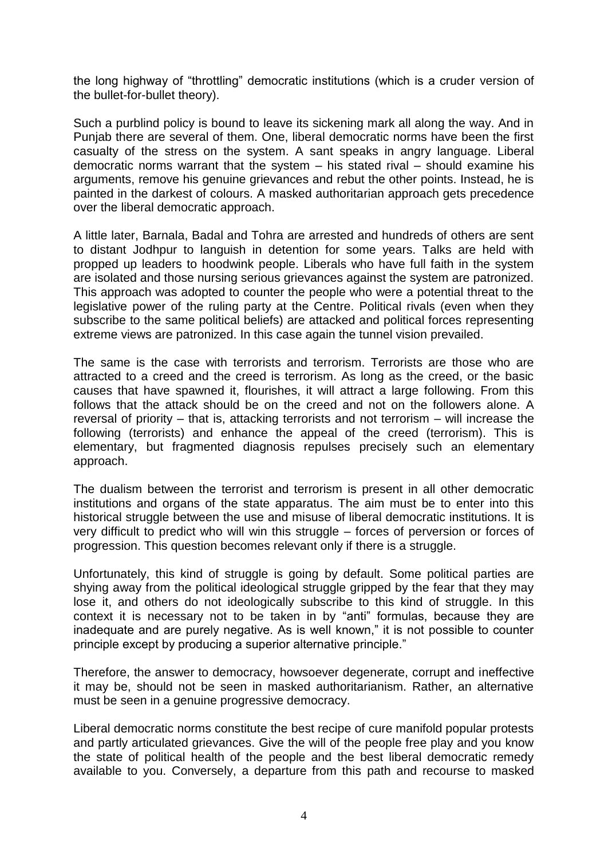the long highway of "throttling" democratic institutions (which is a cruder version of the bullet-for-bullet theory).

Such a purblind policy is bound to leave its sickening mark all along the way. And in Punjab there are several of them. One, liberal democratic norms have been the first casualty of the stress on the system. A sant speaks in angry language. Liberal democratic norms warrant that the system – his stated rival – should examine his arguments, remove his genuine grievances and rebut the other points. Instead, he is painted in the darkest of colours. A masked authoritarian approach gets precedence over the liberal democratic approach.

A little later, Barnala, Badal and Tohra are arrested and hundreds of others are sent to distant Jodhpur to languish in detention for some years. Talks are held with propped up leaders to hoodwink people. Liberals who have full faith in the system are isolated and those nursing serious grievances against the system are patronized. This approach was adopted to counter the people who were a potential threat to the legislative power of the ruling party at the Centre. Political rivals (even when they subscribe to the same political beliefs) are attacked and political forces representing extreme views are patronized. In this case again the tunnel vision prevailed.

The same is the case with terrorists and terrorism. Terrorists are those who are attracted to a creed and the creed is terrorism. As long as the creed, or the basic causes that have spawned it, flourishes, it will attract a large following. From this follows that the attack should be on the creed and not on the followers alone. A reversal of priority – that is, attacking terrorists and not terrorism – will increase the following (terrorists) and enhance the appeal of the creed (terrorism). This is elementary, but fragmented diagnosis repulses precisely such an elementary approach.

The dualism between the terrorist and terrorism is present in all other democratic institutions and organs of the state apparatus. The aim must be to enter into this historical struggle between the use and misuse of liberal democratic institutions. It is very difficult to predict who will win this struggle – forces of perversion or forces of progression. This question becomes relevant only if there is a struggle.

Unfortunately, this kind of struggle is going by default. Some political parties are shying away from the political ideological struggle gripped by the fear that they may lose it, and others do not ideologically subscribe to this kind of struggle. In this context it is necessary not to be taken in by "anti" formulas, because they are inadequate and are purely negative. As is well known," it is not possible to counter principle except by producing a superior alternative principle."

Therefore, the answer to democracy, howsoever degenerate, corrupt and ineffective it may be, should not be seen in masked authoritarianism. Rather, an alternative must be seen in a genuine progressive democracy.

Liberal democratic norms constitute the best recipe of cure manifold popular protests and partly articulated grievances. Give the will of the people free play and you know the state of political health of the people and the best liberal democratic remedy available to you. Conversely, a departure from this path and recourse to masked